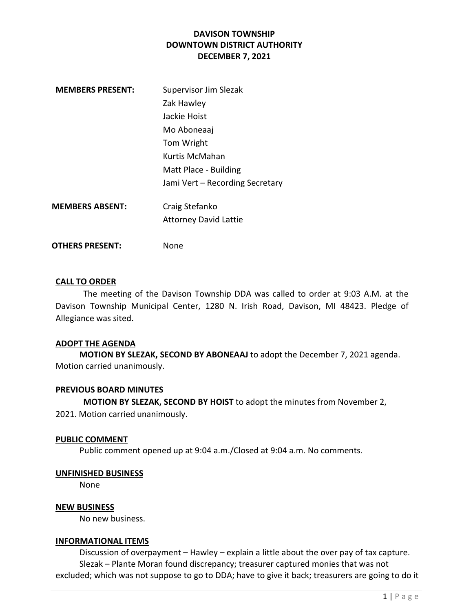| <b>MEMBERS PRESENT:</b> | Supervisor Jim Slezak           |
|-------------------------|---------------------------------|
|                         | Zak Hawley                      |
|                         | Jackie Hoist                    |
|                         | Mo Aboneaaj                     |
|                         | Tom Wright                      |
|                         | Kurtis McMahan                  |
|                         | Matt Place - Building           |
|                         | Jami Vert – Recording Secretary |
| MEMBERS ABSENT:         | Craig Stefanko                  |
|                         | <b>Attorney David Lattie</b>    |
|                         |                                 |

OTHERS PRESENT: None

# CALL TO ORDER

The meeting of the Davison Township DDA was called to order at 9:03 A.M. at the Davison Township Municipal Center, 1280 N. Irish Road, Davison, MI 48423. Pledge of Allegiance was sited.

#### ADOPT THE AGENDA

MOTION BY SLEZAK, SECOND BY ABONEAAJ to adopt the December 7, 2021 agenda. Motion carried unanimously.

### PREVIOUS BOARD MINUTES

MOTION BY SLEZAK, SECOND BY HOIST to adopt the minutes from November 2,

2021. Motion carried unanimously.

#### PUBLIC COMMENT

Public comment opened up at 9:04 a.m./Closed at 9:04 a.m. No comments.

### UNFINISHED BUSINESS

None

### NEW BUSINESS

No new business.

#### INFORMATIONAL ITEMS

 Discussion of overpayment – Hawley – explain a little about the over pay of tax capture. Slezak – Plante Moran found discrepancy; treasurer captured monies that was not excluded; which was not suppose to go to DDA; have to give it back; treasurers are going to do it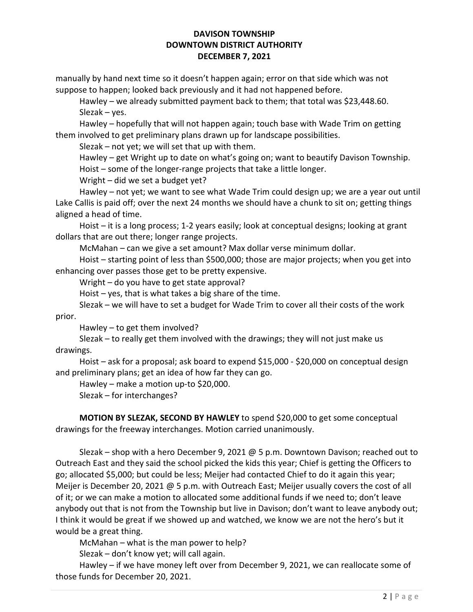manually by hand next time so it doesn't happen again; error on that side which was not suppose to happen; looked back previously and it had not happened before.

 Hawley – we already submitted payment back to them; that total was \$23,448.60. Slezak – yes.

 Hawley – hopefully that will not happen again; touch base with Wade Trim on getting them involved to get preliminary plans drawn up for landscape possibilities.

Slezak – not yet; we will set that up with them.

 Hawley – get Wright up to date on what's going on; want to beautify Davison Township. Hoist – some of the longer-range projects that take a little longer.

Wright – did we set a budget yet?

 Hawley – not yet; we want to see what Wade Trim could design up; we are a year out until Lake Callis is paid off; over the next 24 months we should have a chunk to sit on; getting things aligned a head of time.

 Hoist – it is a long process; 1-2 years easily; look at conceptual designs; looking at grant dollars that are out there; longer range projects.

McMahan – can we give a set amount? Max dollar verse minimum dollar.

 Hoist – starting point of less than \$500,000; those are major projects; when you get into enhancing over passes those get to be pretty expensive.

Wright – do you have to get state approval?

Hoist – yes, that is what takes a big share of the time.

 Slezak – we will have to set a budget for Wade Trim to cover all their costs of the work prior.

Hawley – to get them involved?

 Slezak – to really get them involved with the drawings; they will not just make us drawings.

 Hoist – ask for a proposal; ask board to expend \$15,000 - \$20,000 on conceptual design and preliminary plans; get an idea of how far they can go.

Hawley – make a motion up-to \$20,000.

Slezak – for interchanges?

 MOTION BY SLEZAK, SECOND BY HAWLEY to spend \$20,000 to get some conceptual drawings for the freeway interchanges. Motion carried unanimously.

 Slezak – shop with a hero December 9, 2021 @ 5 p.m. Downtown Davison; reached out to Outreach East and they said the school picked the kids this year; Chief is getting the Officers to go; allocated \$5,000; but could be less; Meijer had contacted Chief to do it again this year; Meijer is December 20, 2021 @ 5 p.m. with Outreach East; Meijer usually covers the cost of all of it; or we can make a motion to allocated some additional funds if we need to; don't leave anybody out that is not from the Township but live in Davison; don't want to leave anybody out; I think it would be great if we showed up and watched, we know we are not the hero's but it would be a great thing.

McMahan – what is the man power to help?

Slezak – don't know yet; will call again.

 Hawley – if we have money left over from December 9, 2021, we can reallocate some of those funds for December 20, 2021.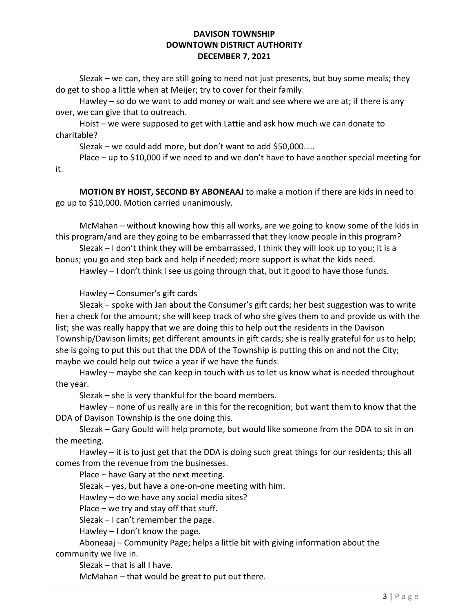Slezak – we can, they are still going to need not just presents, but buy some meals; they do get to shop a little when at Meijer; try to cover for their family.

Hawley – so do we want to add money or wait and see where we are at; if there is any over, we can give that to outreach.

 Hoist – we were supposed to get with Lattie and ask how much we can donate to charitable?

Slezak – we could add more, but don't want to add \$50,000…..

 Place – up to \$10,000 if we need to and we don't have to have another special meeting for it.

MOTION BY HOIST, SECOND BY ABONEAAJ to make a motion if there are kids in need to go up to \$10,000. Motion carried unanimously.

 McMahan – without knowing how this all works, are we going to know some of the kids in this program/and are they going to be embarrassed that they know people in this program?

 Slezak – I don't think they will be embarrassed, I think they will look up to you; it is a bonus; you go and step back and help if needed; more support is what the kids need.

Hawley – I don't think I see us going through that, but it good to have those funds.

Hawley – Consumer's gift cards

 Slezak – spoke with Jan about the Consumer's gift cards; her best suggestion was to write her a check for the amount; she will keep track of who she gives them to and provide us with the list; she was really happy that we are doing this to help out the residents in the Davison Township/Davison limits; get different amounts in gift cards; she is really grateful for us to help; she is going to put this out that the DDA of the Township is putting this on and not the City; maybe we could help out twice a year if we have the funds.

 Hawley – maybe she can keep in touch with us to let us know what is needed throughout the year.

Slezak – she is very thankful for the board members.

 Hawley – none of us really are in this for the recognition; but want them to know that the DDA of Davison Township is the one doing this.

 Slezak – Gary Gould will help promote, but would like someone from the DDA to sit in on the meeting.

 Hawley – it is to just get that the DDA is doing such great things for our residents; this all comes from the revenue from the businesses.

Place – have Gary at the next meeting.

Slezak – yes, but have a one-on-one meeting with him.

Hawley – do we have any social media sites?

Place – we try and stay off that stuff.

Slezak – I can't remember the page.

Hawley – I don't know the page.

 Aboneaaj – Community Page; helps a little bit with giving information about the community we live in.

Slezak – that is all I have.

McMahan – that would be great to put out there.